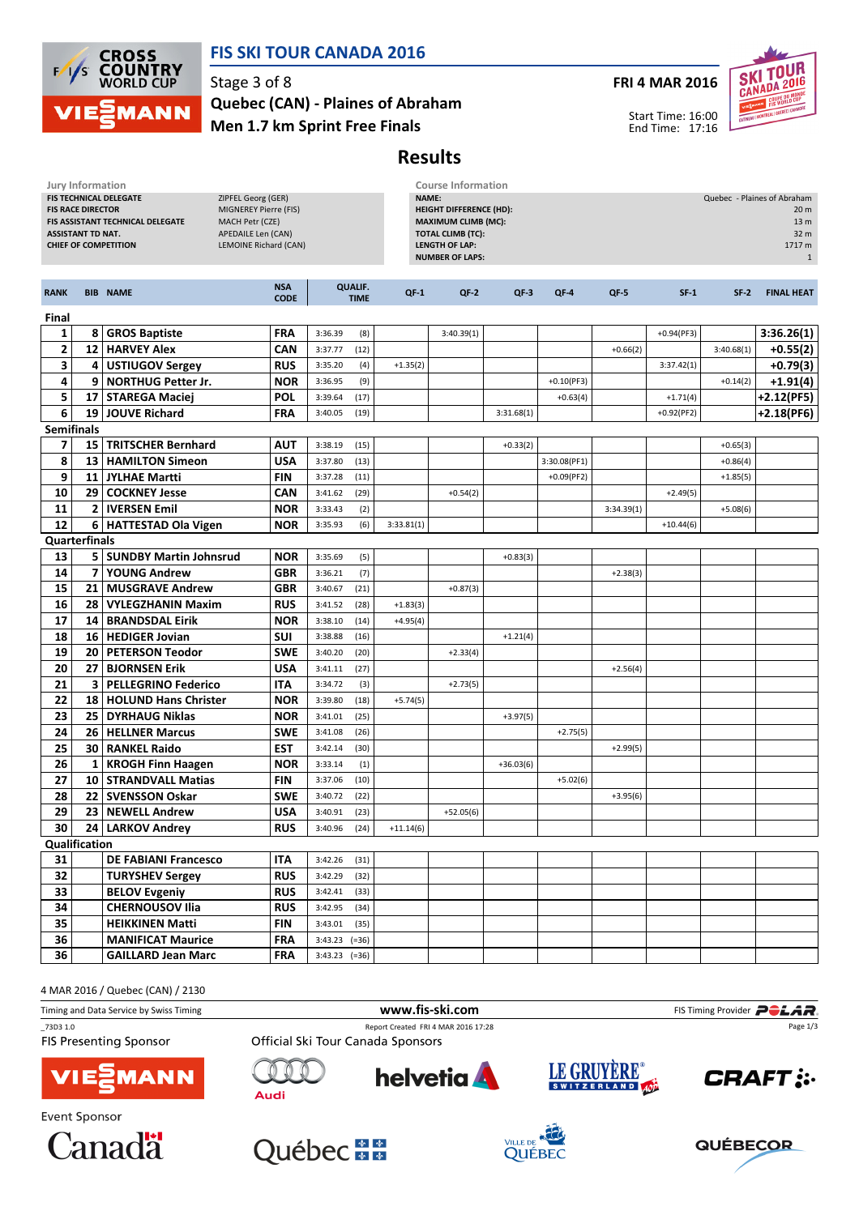

## FIS SKI TOUR CANADA 2016

#### Men 1.7 km Sprint Free Finals Quebec (CAN) - Plaines of Abraham

#### FRI 4 MAR 2016



Start Time: 16:00 End Time: 17:16

# Results

| Jury Information                                                                                                                                  |                 |                             |                                                                                                               |                                                                                                                                                      |                               | <b>Course Information</b> |             |             |               |            |                                                                                          |            |                   |  |
|---------------------------------------------------------------------------------------------------------------------------------------------------|-----------------|-----------------------------|---------------------------------------------------------------------------------------------------------------|------------------------------------------------------------------------------------------------------------------------------------------------------|-------------------------------|---------------------------|-------------|-------------|---------------|------------|------------------------------------------------------------------------------------------|------------|-------------------|--|
| FIS TECHNICAL DELEGATE<br><b>FIS RACE DIRECTOR</b><br>FIS ASSISTANT TECHNICAL DELEGATE<br><b>ASSISTANT TD NAT.</b><br><b>CHIEF OF COMPETITION</b> |                 |                             | ZIPFEL Georg (GER)<br>MIGNEREY Pierre (FIS)<br>MACH Petr (CZE)<br>APEDAILE Len (CAN)<br>LEMOINE Richard (CAN) | NAME:<br><b>HEIGHT DIFFERENCE (HD):</b><br><b>MAXIMUM CLIMB (MC):</b><br><b>TOTAL CLIMB (TC):</b><br><b>LENGTH OF LAP:</b><br><b>NUMBER OF LAPS:</b> |                               |                           |             |             |               |            | Quebec - Plaines of Abraham<br>20 m<br>13 <sub>m</sub><br>32 m<br>1717 m<br>$\mathbf{1}$ |            |                   |  |
| <b>RANK</b>                                                                                                                                       |                 | <b>BIB NAME</b>             | <b>NSA</b><br><b>CODE</b>                                                                                     |                                                                                                                                                      | <b>QUALIF.</b><br><b>TIME</b> | $QF-1$                    | $QF-2$      | $QF-3$      | QF-4          | $QF-5$     | $SF-1$                                                                                   | $SF-2$     | <b>FINAL HEAT</b> |  |
| Final                                                                                                                                             |                 |                             |                                                                                                               |                                                                                                                                                      |                               |                           |             |             |               |            |                                                                                          |            |                   |  |
| 1                                                                                                                                                 | 8               | <b>GROS Baptiste</b>        | <b>FRA</b>                                                                                                    | 3:36.39                                                                                                                                              | (8)                           |                           | 3:40.39(1)  |             |               |            | $+0.94(PF3)$                                                                             |            | 3:36.26(1)        |  |
| 2                                                                                                                                                 |                 | 12   HARVEY Alex            | CAN                                                                                                           | 3:37.77                                                                                                                                              | (12)                          |                           |             |             |               | $+0.66(2)$ |                                                                                          | 3:40.68(1) | $+0.55(2)$        |  |
| 3                                                                                                                                                 |                 | 4   USTIUGOV Sergey         | <b>RUS</b>                                                                                                    | 3:35.20                                                                                                                                              | (4)                           | $+1.35(2)$                |             |             |               |            | 3:37.42(1)                                                                               |            | $+0.79(3)$        |  |
| 4                                                                                                                                                 | 9               | <b>NORTHUG Petter Jr.</b>   | <b>NOR</b>                                                                                                    | 3:36.95                                                                                                                                              | (9)                           |                           |             |             | $+0.10$ (PF3) |            |                                                                                          | $+0.14(2)$ | +1.91(4)          |  |
| 5                                                                                                                                                 |                 | 17   STAREGA Maciei         | <b>POL</b>                                                                                                    | 3:39.64                                                                                                                                              | (17)                          |                           |             |             | $+0.63(4)$    |            | $+1.71(4)$                                                                               |            | +2.12(PF5)        |  |
| 6                                                                                                                                                 |                 | 19 JOUVE Richard            | <b>FRA</b>                                                                                                    | 3:40.05                                                                                                                                              | (19)                          |                           |             | 3:31.68(1)  |               |            | $+0.92(PF2)$                                                                             |            | +2.18(PF6)        |  |
| <b>Semifinals</b>                                                                                                                                 |                 |                             |                                                                                                               |                                                                                                                                                      |                               |                           |             |             |               |            |                                                                                          |            |                   |  |
| 7                                                                                                                                                 |                 | 15   TRITSCHER Bernhard     | <b>AUT</b>                                                                                                    | 3:38.19                                                                                                                                              | (15)                          |                           |             | $+0.33(2)$  |               |            |                                                                                          | $+0.65(3)$ |                   |  |
| 8                                                                                                                                                 |                 | 13   HAMILTON Simeon        | <b>USA</b>                                                                                                    | 3:37.80                                                                                                                                              | (13)                          |                           |             |             | 3:30.08(PF1)  |            |                                                                                          | $+0.86(4)$ |                   |  |
| 9                                                                                                                                                 |                 | 11   JYLHAE Martti          | <b>FIN</b>                                                                                                    | 3:37.28                                                                                                                                              | (11)                          |                           |             |             | $+0.09$ (PF2) |            |                                                                                          | $+1.85(5)$ |                   |  |
| 10                                                                                                                                                | 29 <sub>1</sub> | <b>COCKNEY Jesse</b>        | CAN                                                                                                           | 3:41.62                                                                                                                                              | (29)                          |                           | $+0.54(2)$  |             |               |            | $+2.49(5)$                                                                               |            |                   |  |
| 11                                                                                                                                                |                 | 2   IVERSEN Emil            | <b>NOR</b>                                                                                                    | 3:33.43                                                                                                                                              | (2)                           |                           |             |             |               | 3:34.39(1) |                                                                                          | $+5.08(6)$ |                   |  |
| 12                                                                                                                                                |                 | 6 HATTESTAD Ola Vigen       | <b>NOR</b>                                                                                                    | 3:35.93                                                                                                                                              | (6)                           | 3:33.81(1)                |             |             |               |            | $+10.44(6)$                                                                              |            |                   |  |
| <b>Quarterfinals</b>                                                                                                                              |                 |                             |                                                                                                               |                                                                                                                                                      |                               |                           |             |             |               |            |                                                                                          |            |                   |  |
| 13                                                                                                                                                |                 | 5   SUNDBY Martin Johnsrud  | <b>NOR</b>                                                                                                    | 3:35.69                                                                                                                                              | (5)                           |                           |             | $+0.83(3)$  |               |            |                                                                                          |            |                   |  |
| 14                                                                                                                                                | 7               | <b>YOUNG Andrew</b>         | <b>GBR</b>                                                                                                    | 3:36.21                                                                                                                                              | (7)                           |                           |             |             |               | $+2.38(3)$ |                                                                                          |            |                   |  |
| 15                                                                                                                                                | 21              | <b>MUSGRAVE Andrew</b>      | <b>GBR</b>                                                                                                    | 3:40.67                                                                                                                                              | (21)                          |                           | $+0.87(3)$  |             |               |            |                                                                                          |            |                   |  |
| 16                                                                                                                                                |                 | 28   VYLEGZHANIN Maxim      | <b>RUS</b>                                                                                                    | 3:41.52                                                                                                                                              | (28)                          | $+1.83(3)$                |             |             |               |            |                                                                                          |            |                   |  |
| 17                                                                                                                                                |                 | 14   BRANDSDAL Eirik        | <b>NOR</b>                                                                                                    | 3:38.10                                                                                                                                              | (14)                          | $+4.95(4)$                |             |             |               |            |                                                                                          |            |                   |  |
| 18                                                                                                                                                |                 | 16   HEDIGER Jovian         | <b>SUI</b>                                                                                                    | 3:38.88                                                                                                                                              | (16)                          |                           |             | $+1.21(4)$  |               |            |                                                                                          |            |                   |  |
| 19                                                                                                                                                |                 | 20   PETERSON Teodor        | <b>SWE</b>                                                                                                    | 3:40.20                                                                                                                                              | (20)                          |                           | $+2.33(4)$  |             |               |            |                                                                                          |            |                   |  |
| 20                                                                                                                                                | 27              | <b>BJORNSEN Erik</b>        | <b>USA</b>                                                                                                    | 3:41.11                                                                                                                                              | (27)                          |                           |             |             |               | $+2.56(4)$ |                                                                                          |            |                   |  |
| 21                                                                                                                                                | 3               | <b>PELLEGRINO Federico</b>  | ITA                                                                                                           | 3:34.72                                                                                                                                              | (3)                           |                           | $+2.73(5)$  |             |               |            |                                                                                          |            |                   |  |
| 22                                                                                                                                                |                 | 18   HOLUND Hans Christer   | <b>NOR</b>                                                                                                    | 3:39.80                                                                                                                                              | (18)                          | $+5.74(5)$                |             |             |               |            |                                                                                          |            |                   |  |
| 23                                                                                                                                                |                 | 25 DYRHAUG Niklas           | <b>NOR</b>                                                                                                    | 3:41.01                                                                                                                                              | (25)                          |                           |             | $+3.97(5)$  |               |            |                                                                                          |            |                   |  |
| 24                                                                                                                                                |                 | 26   HELLNER Marcus         | <b>SWE</b>                                                                                                    | 3:41.08                                                                                                                                              | (26)                          |                           |             |             | $+2.75(5)$    |            |                                                                                          |            |                   |  |
| 25                                                                                                                                                |                 | 30   RANKEL Raido           | EST                                                                                                           | 3:42.14                                                                                                                                              | (30)                          |                           |             |             |               | $+2.99(5)$ |                                                                                          |            |                   |  |
| 26                                                                                                                                                |                 | 1   KROGH Finn Haagen       | <b>NOR</b>                                                                                                    | 3:33.14                                                                                                                                              | (1)                           |                           |             | $+36.03(6)$ |               |            |                                                                                          |            |                   |  |
| 27                                                                                                                                                |                 | 10   STRANDVALL Matias      | <b>FIN</b>                                                                                                    | 3:37.06                                                                                                                                              | (10)                          |                           |             |             | $+5.02(6)$    |            |                                                                                          |            |                   |  |
| 28                                                                                                                                                |                 | 22   SVENSSON Oskar         | <b>SWE</b>                                                                                                    | 3:40.72                                                                                                                                              | (22)                          |                           |             |             |               | $+3.95(6)$ |                                                                                          |            |                   |  |
| 29                                                                                                                                                |                 | 23   NEWELL Andrew          | <b>USA</b>                                                                                                    | 3:40.91                                                                                                                                              | (23)                          |                           | $+52.05(6)$ |             |               |            |                                                                                          |            |                   |  |
|                                                                                                                                                   |                 | 30 24 LARKOV Andrey         |                                                                                                               | <b>RUS</b> 3:40.96 (24)                                                                                                                              |                               | $+11.14(6)$               |             |             |               |            |                                                                                          |            |                   |  |
| Qualification                                                                                                                                     |                 |                             |                                                                                                               |                                                                                                                                                      |                               |                           |             |             |               |            |                                                                                          |            |                   |  |
| 31                                                                                                                                                |                 | <b>DE FABIANI Francesco</b> | <b>ITA</b>                                                                                                    | $3:42.26$ (31)                                                                                                                                       |                               |                           |             |             |               |            |                                                                                          |            |                   |  |
| 32                                                                                                                                                |                 | <b>TURYSHEV Sergey</b>      | <b>RUS</b>                                                                                                    | $3:42.29$ (32)                                                                                                                                       |                               |                           |             |             |               |            |                                                                                          |            |                   |  |
| 33                                                                                                                                                |                 | <b>BELOV Evgeniy</b>        | <b>RUS</b>                                                                                                    | $3:42.41$ (33)                                                                                                                                       |                               |                           |             |             |               |            |                                                                                          |            |                   |  |
| 34                                                                                                                                                |                 | <b>CHERNOUSOV Ilia</b>      | <b>RUS</b>                                                                                                    | $3:42.95$ (34)                                                                                                                                       |                               |                           |             |             |               |            |                                                                                          |            |                   |  |
| 35                                                                                                                                                |                 | <b>HEIKKINEN Matti</b>      | <b>FIN</b>                                                                                                    | $3:43.01$ (35)                                                                                                                                       |                               |                           |             |             |               |            |                                                                                          |            |                   |  |
| 36                                                                                                                                                |                 | <b>MANIFICAT Maurice</b>    | <b>FRA</b>                                                                                                    | $3:43.23$ (=36)                                                                                                                                      |                               |                           |             |             |               |            |                                                                                          |            |                   |  |
| 36                                                                                                                                                |                 | <b>GAILLARD Jean Marc</b>   | <b>FRA</b>                                                                                                    | $3:43.23$ (=36)                                                                                                                                      |                               |                           |             |             |               |            |                                                                                          |            |                   |  |

4 MAR 2016 / Quebec (CAN) / 2130

Timing and Data Service by Swiss Timing **Filter and Data Service by Swiss Timing Provider** PCLAR \_73D3 1.0 Report Created FRI 4 MAR 2016 17:28 Page 1/3Official Ski Tour Canada Sponsors **FIS Presenting Sponsor** LE GRUYÈRE® **helvetia CRAFT: MANN Audi** Event Sponsor







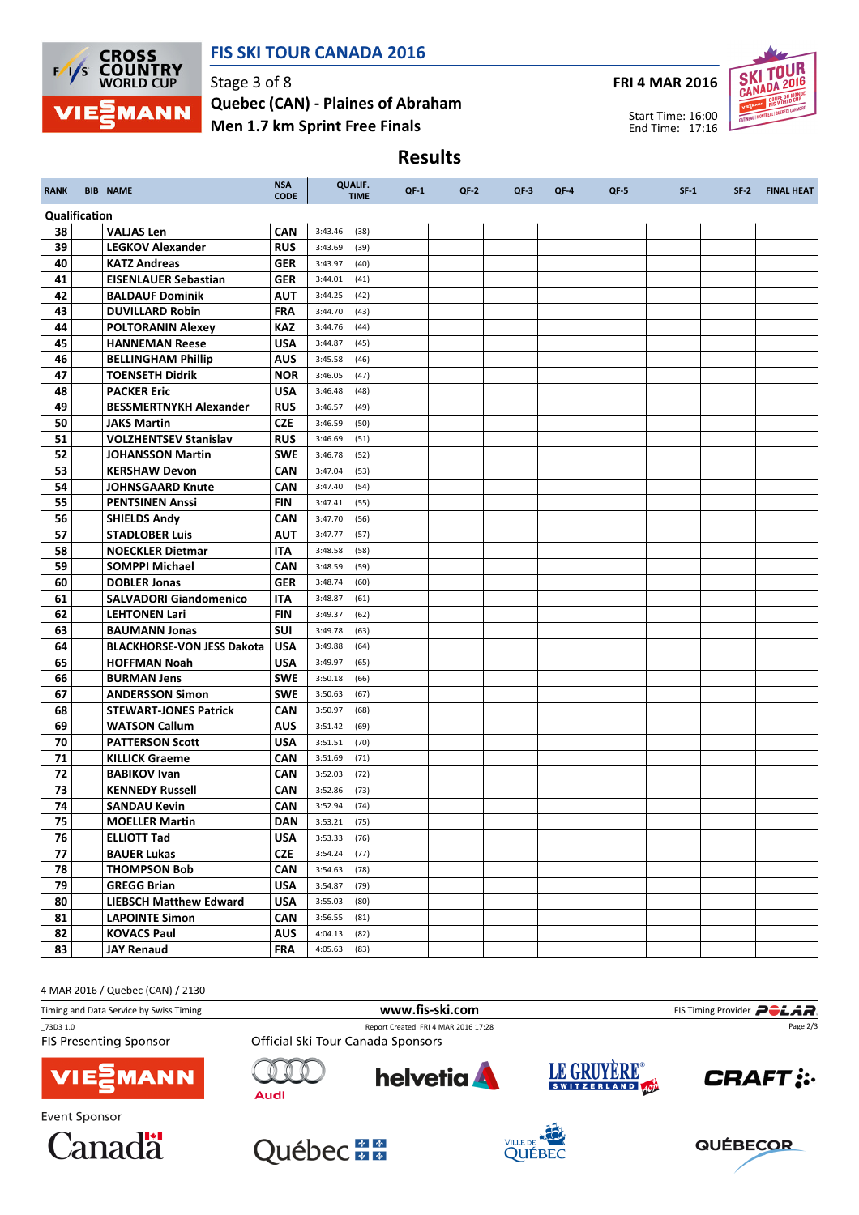

## FIS SKI TOUR CANADA 2016

Stage 3 of 8 Men 1.7 km Sprint Free Finals Quebec (CAN) - Plaines of Abraham FRI 4 MAR 2016



Start Time: 16:00 End Time: 17:16

# Results

| <b>RANK</b>   | <b>BIB NAME</b>                           | <b>NSA</b><br><b>CODE</b> | <b>QUALIF.</b><br><b>TIME</b> | $QF-1$ | $QF-2$ | $QF-3$ | $QF-4$ | $QF-5$ | $SF-1$ | $SF-2$ | <b>FINAL HEAT</b> |
|---------------|-------------------------------------------|---------------------------|-------------------------------|--------|--------|--------|--------|--------|--------|--------|-------------------|
| Qualification |                                           |                           |                               |        |        |        |        |        |        |        |                   |
| 38            | <b>VALJAS Len</b>                         | <b>CAN</b>                | 3:43.46<br>(38)               |        |        |        |        |        |        |        |                   |
| 39            | <b>LEGKOV Alexander</b>                   | <b>RUS</b>                | 3:43.69<br>(39)               |        |        |        |        |        |        |        |                   |
| 40            | <b>KATZ Andreas</b>                       | <b>GER</b>                | 3:43.97<br>(40)               |        |        |        |        |        |        |        |                   |
| 41            | <b>EISENLAUER Sebastian</b>               | <b>GER</b>                | 3:44.01<br>(41)               |        |        |        |        |        |        |        |                   |
| 42            | <b>BALDAUF Dominik</b>                    | <b>AUT</b>                | 3:44.25<br>(42)               |        |        |        |        |        |        |        |                   |
| 43            | <b>DUVILLARD Robin</b>                    | <b>FRA</b>                | 3:44.70<br>(43)               |        |        |        |        |        |        |        |                   |
| 44            | <b>POLTORANIN Alexey</b>                  | <b>KAZ</b>                | 3:44.76<br>(44)               |        |        |        |        |        |        |        |                   |
| 45            | <b>HANNEMAN Reese</b>                     | <b>USA</b>                | 3:44.87<br>(45)               |        |        |        |        |        |        |        |                   |
| 46            | <b>BELLINGHAM Phillip</b>                 | <b>AUS</b>                | 3:45.58<br>(46)               |        |        |        |        |        |        |        |                   |
| 47            | <b>TOENSETH Didrik</b>                    | <b>NOR</b>                | (47)<br>3:46.05               |        |        |        |        |        |        |        |                   |
| 48            | <b>PACKER Eric</b>                        | <b>USA</b>                | 3:46.48<br>(48)               |        |        |        |        |        |        |        |                   |
| 49            | <b>BESSMERTNYKH Alexander</b>             | <b>RUS</b>                | 3:46.57<br>(49)               |        |        |        |        |        |        |        |                   |
| 50            | <b>JAKS Martin</b>                        | <b>CZE</b>                | 3:46.59<br>(50)               |        |        |        |        |        |        |        |                   |
| 51            | <b>VOLZHENTSEV Stanislav</b>              | <b>RUS</b>                | 3:46.69<br>(51)               |        |        |        |        |        |        |        |                   |
| 52            | <b>JOHANSSON Martin</b>                   | <b>SWE</b>                | 3:46.78<br>(52)               |        |        |        |        |        |        |        |                   |
| 53            | <b>KERSHAW Devon</b>                      | <b>CAN</b>                | 3:47.04<br>(53)               |        |        |        |        |        |        |        |                   |
| 54            | <b>JOHNSGAARD Knute</b>                   | <b>CAN</b>                | 3:47.40<br>(54)               |        |        |        |        |        |        |        |                   |
| 55            | <b>PENTSINEN Anssi</b>                    | <b>FIN</b>                | 3:47.41<br>(55)               |        |        |        |        |        |        |        |                   |
| 56            | <b>SHIELDS Andy</b>                       | <b>CAN</b>                | 3:47.70<br>(56)               |        |        |        |        |        |        |        |                   |
| 57            | <b>STADLOBER Luis</b>                     | <b>AUT</b>                | 3:47.77<br>(57)               |        |        |        |        |        |        |        |                   |
| 58            | <b>NOECKLER Dietmar</b>                   | ITA                       | 3:48.58<br>(58)               |        |        |        |        |        |        |        |                   |
| 59            | <b>SOMPPI Michael</b>                     | <b>CAN</b>                | 3:48.59<br>(59)               |        |        |        |        |        |        |        |                   |
| 60            | <b>DOBLER Jonas</b>                       | <b>GER</b>                | 3:48.74<br>(60)               |        |        |        |        |        |        |        |                   |
| 61            | <b>SALVADORI Giandomenico</b>             | <b>ITA</b>                | 3:48.87<br>(61)               |        |        |        |        |        |        |        |                   |
| 62            | <b>LEHTONEN Lari</b>                      | <b>FIN</b>                | 3:49.37<br>(62)               |        |        |        |        |        |        |        |                   |
| 63            | <b>BAUMANN Jonas</b>                      | <b>SUI</b>                | 3:49.78<br>(63)               |        |        |        |        |        |        |        |                   |
| 64<br>65      | <b>BLACKHORSE-VON JESS Dakota</b>         | <b>USA</b><br><b>USA</b>  | 3:49.88<br>(64)               |        |        |        |        |        |        |        |                   |
| 66            | <b>HOFFMAN Noah</b><br><b>BURMAN Jens</b> | <b>SWE</b>                | 3:49.97<br>(65)<br>3:50.18    |        |        |        |        |        |        |        |                   |
| 67            | <b>ANDERSSON Simon</b>                    | <b>SWE</b>                | (66)<br>3:50.63<br>(67)       |        |        |        |        |        |        |        |                   |
| 68            | <b>STEWART-JONES Patrick</b>              | <b>CAN</b>                | 3:50.97<br>(68)               |        |        |        |        |        |        |        |                   |
| 69            | <b>WATSON Callum</b>                      | <b>AUS</b>                | 3:51.42<br>(69)               |        |        |        |        |        |        |        |                   |
| 70            | <b>PATTERSON Scott</b>                    | <b>USA</b>                | 3:51.51<br>(70)               |        |        |        |        |        |        |        |                   |
| 71            | <b>KILLICK Graeme</b>                     | <b>CAN</b>                | 3:51.69<br>(71)               |        |        |        |        |        |        |        |                   |
| 72            | <b>BABIKOV Ivan</b>                       | <b>CAN</b>                | 3:52.03<br>(72)               |        |        |        |        |        |        |        |                   |
| 73            | <b>KENNEDY Russell</b>                    | <b>CAN</b>                | 3:52.86<br>(73)               |        |        |        |        |        |        |        |                   |
| 74            | <b>SANDAU Kevin</b>                       | <b>CAN</b>                | 3:52.94<br>(74)               |        |        |        |        |        |        |        |                   |
| 75            | <b>MOELLER Martin</b>                     | <b>DAN</b>                | (75)<br>3:53.21               |        |        |        |        |        |        |        |                   |
| 76            | <b>ELLIOTT Tad</b>                        | <b>USA</b>                | $3:53.33$ (76)                |        |        |        |        |        |        |        |                   |
| 77            | <b>BAUER Lukas</b>                        | <b>CZE</b>                | 3:54.24<br>(77)               |        |        |        |        |        |        |        |                   |
| 78            | <b>THOMPSON Bob</b>                       | <b>CAN</b>                | 3:54.63<br>(78)               |        |        |        |        |        |        |        |                   |
| 79            | <b>GREGG Brian</b>                        | <b>USA</b>                | (79)<br>3:54.87               |        |        |        |        |        |        |        |                   |
| 80            | <b>LIEBSCH Matthew Edward</b>             | <b>USA</b>                | 3:55.03<br>(80)               |        |        |        |        |        |        |        |                   |
| 81            | <b>LAPOINTE Simon</b>                     | <b>CAN</b>                | 3:56.55<br>(81)               |        |        |        |        |        |        |        |                   |
| 82            | <b>KOVACS Paul</b>                        | <b>AUS</b>                | (82)<br>4:04.13               |        |        |        |        |        |        |        |                   |
| 83            | <b>JAY Renaud</b>                         | FRA                       | 4:05.63<br>(83)               |        |        |        |        |        |        |        |                   |

4 MAR 2016 / Quebec (CAN) / 2130

Timing and Data Service by Swiss Timing **WWW.fis-Ski.com WWW.fis-Ski.com** FIS Timing Provider **PCLAR** \_73D3 1.0 Report Created FRI 4 MAR 2016 17:28 Page 2/3**FIS Presenting Sponsor** Official Ski Tour Canada Sponsors LE GRUYÈRE® **helvetia CRAFT: MANN Audi Event Sponsor**